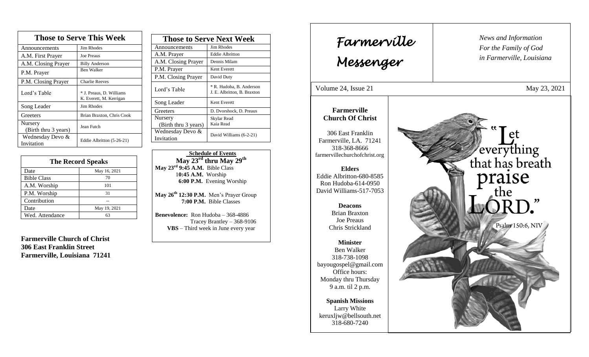| <b>Those to Serve This Week</b> |                                                     |  |
|---------------------------------|-----------------------------------------------------|--|
| Announcements                   | Jim Rhodes                                          |  |
| A.M. First Prayer               | <b>Joe Preaus</b>                                   |  |
| A.M. Closing Prayer             | <b>Billy Anderson</b>                               |  |
| P.M. Prayer                     | Ben Walker                                          |  |
| P.M. Closing Prayer             | <b>Charlie Reeves</b>                               |  |
| Lord's Table                    | * J. Preaus, D. Williams<br>K. Everett, M. Kerrigan |  |
| Song Leader                     | Jim Rhodes                                          |  |
| Greeters                        | Brian Braxton, Chris Cook                           |  |
| Nursery<br>(Birth thru 3 years) | Jean Futch                                          |  |
| Wednesday Devo &<br>Invitation  | Eddie Albritton (5-26-21)                           |  |

| <b>The Record Speaks</b> |              |
|--------------------------|--------------|
| Date                     | May 16, 2021 |
| <b>Bible Class</b>       | 70           |
| A.M. Worship             | 101          |
| P.M. Worship             | 31           |
| Contribution             |              |
| Date                     | May 19, 2021 |
| Wed. Attendance          |              |

**Farmerville Church of Christ 306 East Franklin Street Farmerville, Louisiana 71241**

| <b>Those to Serve Next Week</b> |                                                         |
|---------------------------------|---------------------------------------------------------|
| Announcements                   | Jim Rhodes                                              |
| A.M. Prayer                     | <b>Eddie Albritton</b>                                  |
| A.M. Closing Prayer             | Dennis Milam                                            |
| P.M. Prayer                     | Kent Everett                                            |
| P.M. Closing Prayer             | David Duty                                              |
| Lord's Table                    | * R. Hudoba, B. Anderson<br>J. E. Albritton, B. Braxton |
| Song Leader                     | Kent Everett                                            |
| Greeters                        | D. Dvorshock, D. Preaus                                 |
| Nursery                         | Skylar Read<br>Kaia Read                                |
| (Birth thru 3 years)            |                                                         |
| Wednesday Devo &                | David Williams (6-2-21)                                 |
| Invitation                      |                                                         |

 **Schedule of Events May 23rd thru May 29 th May 23rd 9:45 A.M.** Bible Class 1**0:45 A.M.** Worship  **6:00 P.M.** Evening Worship

**May 26th 12:30 P.M.** Men's Prayer Group **7:00 P.M.** Bible Classes

**Benevolence:** Ron Hudoba – 368-4886 Tracey Brantley – 368-9106 **VBS** – Third week in June every year

*News and Information* **Farmerville**  $\begin{bmatrix} \text{News an} \\ \text{For the} \end{bmatrix}$ *For the Family of God in Farmerville, Louisiana Messenger*  Volume 24, Issue 21 May 23, 2021 , 2015 **Farmerville Church Of Christ** everything<br>that has breath<br>praise 306 East Franklin Farmerville, LA. 71241 318-368-8666 farmervillechurchofchrist.org **Elders** Eddie Albritton-680-8585 Ron Hudoba-614-0950 David Williams-517-7053 the **Deacons**  Brian Braxton Joe Preaus Psalm 150:6, NIV Chris Strickland **Minister** Ben Walker 318-738-1098 bayougospel@gmail.com Office hours: Monday thru Thursday 9 a.m. til 2 p.m. **Spanish Missions** Larry White keruxljw@bellsouth.net 318-680-7240